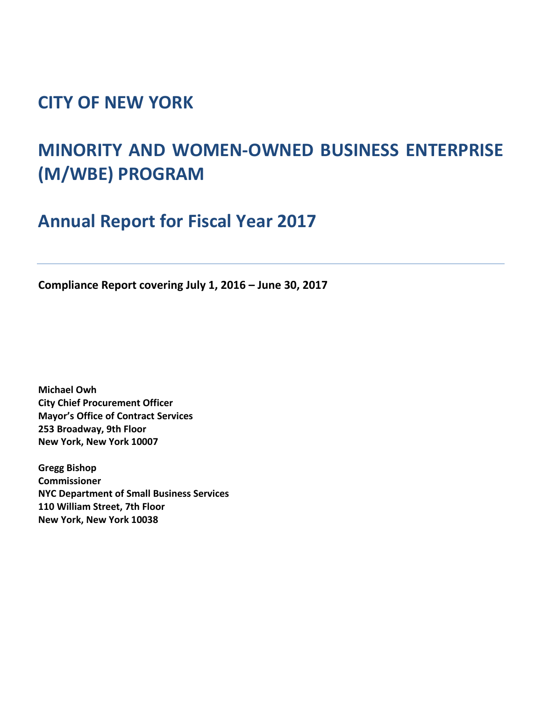## **CITY OF NEW YORK**

# **MINORITY AND WOMEN-OWNED BUSINESS ENTERPRISE (M/WBE) PROGRAM**

**Annual Report for Fiscal Year 2017**

**Compliance Report covering July 1, 2016 – June 30, 2017**

**Michael Owh City Chief Procurement Officer Mayor's Office of Contract Services 253 Broadway, 9th Floor New York, New York 10007**

**Gregg Bishop Commissioner NYC Department of Small Business Services 110 William Street, 7th Floor New York, New York 10038**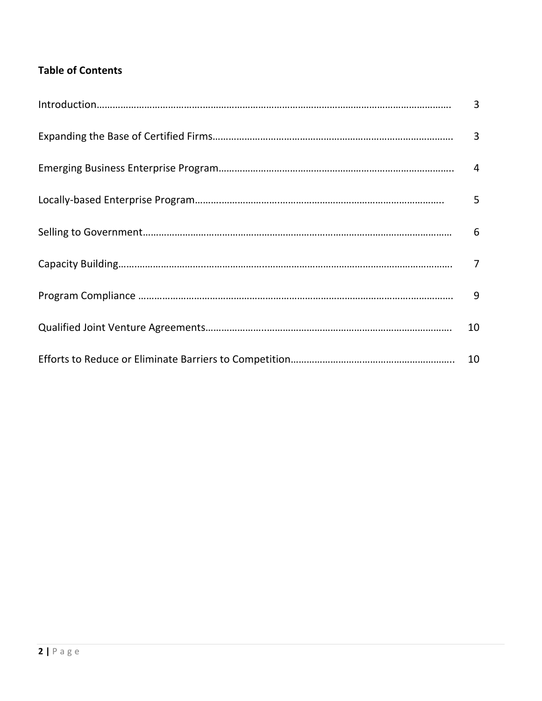### **Table of Contents**

| $\overline{3}$ |
|----------------|
|                |
| 5              |
| 6              |
|                |
| 9              |
| 10             |
|                |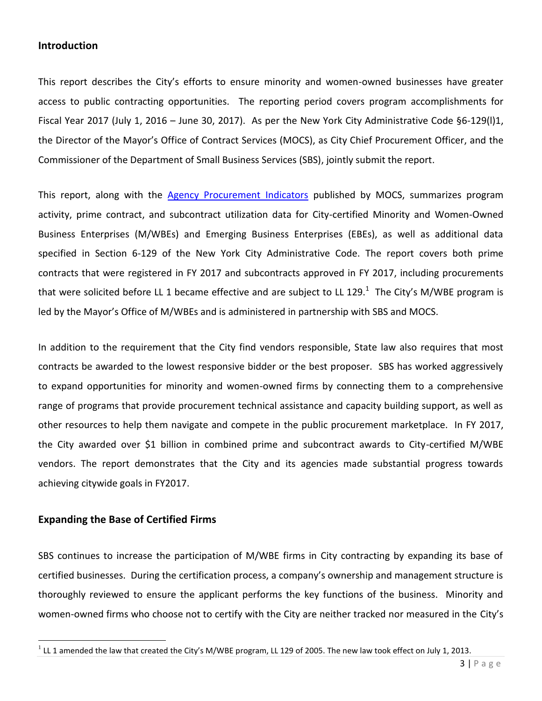#### **Introduction**

This report describes the City's efforts to ensure minority and women-owned businesses have greater access to public contracting opportunities. The reporting period covers program accomplishments for Fiscal Year 2017 (July 1, 2016 – June 30, 2017). As per the New York City Administrative Code §6-129(l)1, the Director of the Mayor's Office of Contract Services (MOCS), as City Chief Procurement Officer, and the Commissioner of the Department of Small Business Services (SBS), jointly submit the report.

This report, along with the [Agency Procurement Indicators](http://www1.nyc.gov/site/mocs/resources/publications.page) published by MOCS, summarizes program activity, prime contract, and subcontract utilization data for City-certified Minority and Women-Owned Business Enterprises (M/WBEs) and Emerging Business Enterprises (EBEs), as well as additional data specified in Section 6-129 of the New York City Administrative Code. The report covers both prime contracts that were registered in FY 2017 and subcontracts approved in FY 2017, including procurements that were solicited before LL 1 became effective and are subject to LL 129.<sup>1</sup> The City's M/WBE program is led by the Mayor's Office of M/WBEs and is administered in partnership with SBS and MOCS.

In addition to the requirement that the City find vendors responsible, State law also requires that most contracts be awarded to the lowest responsive bidder or the best proposer. SBS has worked aggressively to expand opportunities for minority and women-owned firms by connecting them to a comprehensive range of programs that provide procurement technical assistance and capacity building support, as well as other resources to help them navigate and compete in the public procurement marketplace. In FY 2017, the City awarded over \$1 billion in combined prime and subcontract awards to City-certified M/WBE vendors. The report demonstrates that the City and its agencies made substantial progress towards achieving citywide goals in FY2017.

#### **Expanding the Base of Certified Firms**

 $\overline{\phantom{a}}$ 

SBS continues to increase the participation of M/WBE firms in City contracting by expanding its base of certified businesses. During the certification process, a company's ownership and management structure is thoroughly reviewed to ensure the applicant performs the key functions of the business. Minority and women-owned firms who choose not to certify with the City are neither tracked nor measured in the City's

 $^1$  LL 1 amended the law that created the City's M/WBE program, LL 129 of 2005. The new law took effect on July 1, 2013.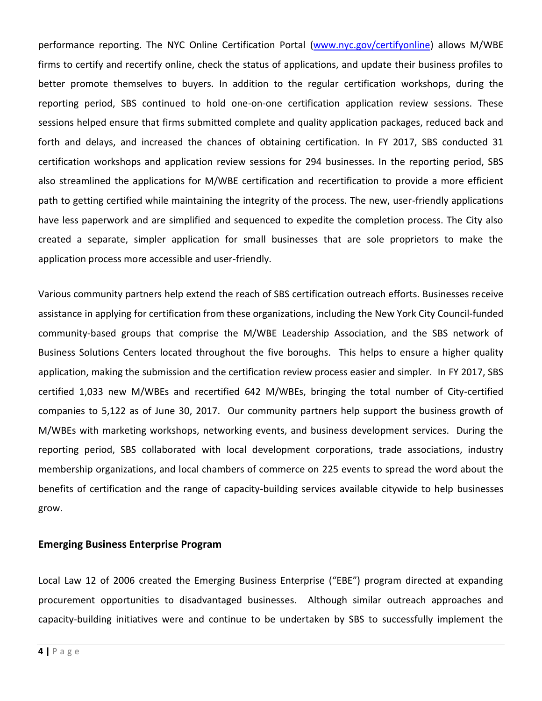performance reporting. The NYC Online Certification Portal [\(www.nyc.gov/certifyonline\)](https://a801-sbscssp.nyc.gov/CitizenAccess/) allows M/WBE firms to certify and recertify online, check the status of applications, and update their business profiles to better promote themselves to buyers. In addition to the regular certification workshops, during the reporting period, SBS continued to hold one-on-one certification application review sessions. These sessions helped ensure that firms submitted complete and quality application packages, reduced back and forth and delays, and increased the chances of obtaining certification. In FY 2017, SBS conducted 31 certification workshops and application review sessions for 294 businesses. In the reporting period, SBS also streamlined the applications for M/WBE certification and recertification to provide a more efficient path to getting certified while maintaining the integrity of the process. The new, user-friendly applications have less paperwork and are simplified and sequenced to expedite the completion process. The City also created a separate, simpler application for small businesses that are sole proprietors to make the application process more accessible and user-friendly.

Various community partners help extend the reach of SBS certification outreach efforts. Businesses receive assistance in applying for certification from these organizations, including the New York City Council-funded community-based groups that comprise the M/WBE Leadership Association, and the SBS network of Business Solutions Centers located throughout the five boroughs. This helps to ensure a higher quality application, making the submission and the certification review process easier and simpler. In FY 2017, SBS certified 1,033 new M/WBEs and recertified 642 M/WBEs, bringing the total number of City-certified companies to 5,122 as of June 30, 2017. Our community partners help support the business growth of M/WBEs with marketing workshops, networking events, and business development services. During the reporting period, SBS collaborated with local development corporations, trade associations, industry membership organizations, and local chambers of commerce on 225 events to spread the word about the benefits of certification and the range of capacity-building services available citywide to help businesses grow.

#### **Emerging Business Enterprise Program**

Local Law 12 of 2006 created the Emerging Business Enterprise ("EBE") program directed at expanding procurement opportunities to disadvantaged businesses. Although similar outreach approaches and capacity-building initiatives were and continue to be undertaken by SBS to successfully implement the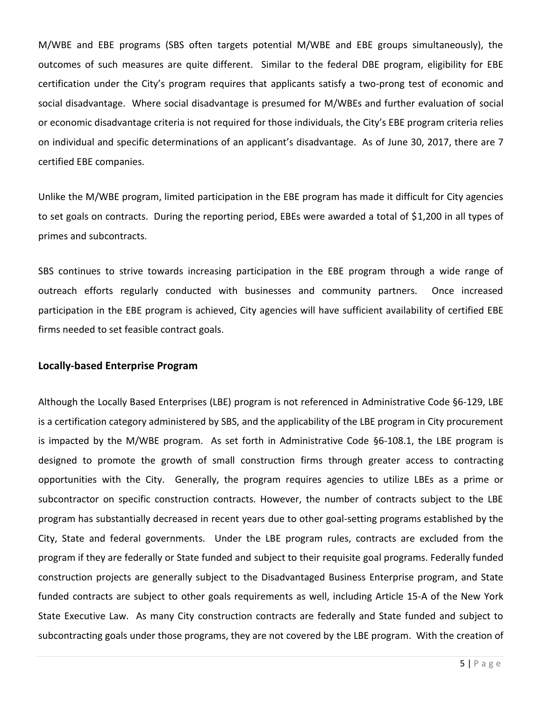M/WBE and EBE programs (SBS often targets potential M/WBE and EBE groups simultaneously), the outcomes of such measures are quite different. Similar to the federal DBE program, eligibility for EBE certification under the City's program requires that applicants satisfy a two-prong test of economic and social disadvantage. Where social disadvantage is presumed for M/WBEs and further evaluation of social or economic disadvantage criteria is not required for those individuals, the City's EBE program criteria relies on individual and specific determinations of an applicant's disadvantage. As of June 30, 2017, there are 7 certified EBE companies.

Unlike the M/WBE program, limited participation in the EBE program has made it difficult for City agencies to set goals on contracts. During the reporting period, EBEs were awarded a total of \$1,200 in all types of primes and subcontracts.

SBS continues to strive towards increasing participation in the EBE program through a wide range of outreach efforts regularly conducted with businesses and community partners. Once increased participation in the EBE program is achieved, City agencies will have sufficient availability of certified EBE firms needed to set feasible contract goals.

#### **Locally-based Enterprise Program**

Although the Locally Based Enterprises (LBE) program is not referenced in Administrative Code §6-129, LBE is a certification category administered by SBS, and the applicability of the LBE program in City procurement is impacted by the M/WBE program. As set forth in Administrative Code §6-108.1, the LBE program is designed to promote the growth of small construction firms through greater access to contracting opportunities with the City. Generally, the program requires agencies to utilize LBEs as a prime or subcontractor on specific construction contracts. However, the number of contracts subject to the LBE program has substantially decreased in recent years due to other goal-setting programs established by the City, State and federal governments. Under the LBE program rules, contracts are excluded from the program if they are federally or State funded and subject to their requisite goal programs. Federally funded construction projects are generally subject to the Disadvantaged Business Enterprise program, and State funded contracts are subject to other goals requirements as well, including Article 15-A of the New York State Executive Law. As many City construction contracts are federally and State funded and subject to subcontracting goals under those programs, they are not covered by the LBE program. With the creation of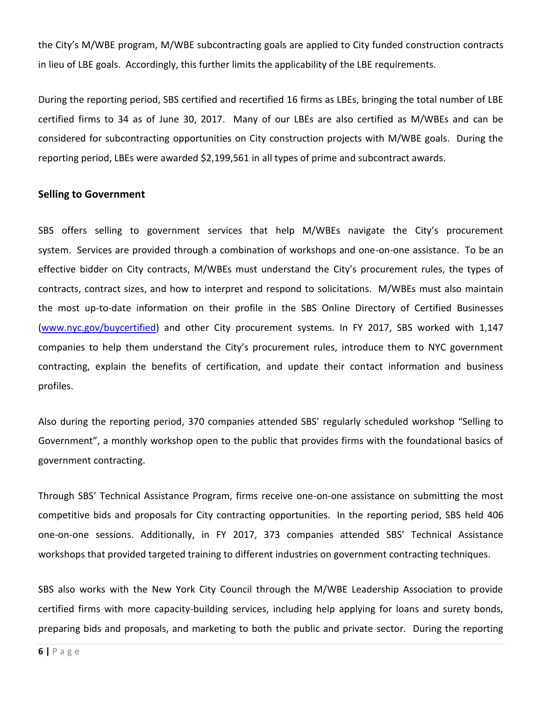the City's M/WBE program, M/WBE subcontracting goals are applied to City funded construction contracts in lieu of LBE goals. Accordingly, this further limits the applicability of the LBE requirements.

During the reporting period, SBS certified and recertified 16 firms as LBEs, bringing the total number of LBE certified firms to 34 as of June 30, 2017. Many of our LBEs are also certified as M/WBEs and can be considered for subcontracting opportunities on City construction projects with M/WBE goals. During the reporting period, LBEs were awarded \$2,199,561 in all types of prime and subcontract awards.

#### **Selling to Government**

SBS offers selling to government services that help M/WBEs navigate the City's procurement system. Services are provided through a combination of workshops and one-on-one assistance. To be an effective bidder on City contracts, M/WBEs must understand the City's procurement rules, the types of contracts, contract sizes, and how to interpret and respond to solicitations. M/WBEs must also maintain the most up-to-date information on their profile in the SBS Online Directory of Certified Businesses (www.nyc.gov/buycertified) and other City procurement systems. In FY 2017, SBS worked with 1,147 companies to help them understand the City's procurement rules, introduce them to NYC government contracting, explain the benefits of certification, and update their contact information and business profiles.

Also during the reporting period, 370 companies attended SBS' regularly scheduled workshop "Selling to Government", a monthly workshop open to the public that provides firms with the foundational basics of government contracting.

Through SBS' Technical Assistance Program, firms receive one-on-one assistance on submitting the most competitive bids and proposals for City contracting opportunities. In the reporting period, SBS held 406 one-on-one sessions. Additionally, in FY 2017, 373 companies attended SBS' Technical Assistance workshops that provided targeted training to different industries on government contracting techniques.

SBS also works with the New York City Council through the M/WBE Leadership Association to provide certified firms with more capacity-building services, including help applying for loans and surety bonds, preparing bids and proposals, and marketing to both the public and private sector. During the reporting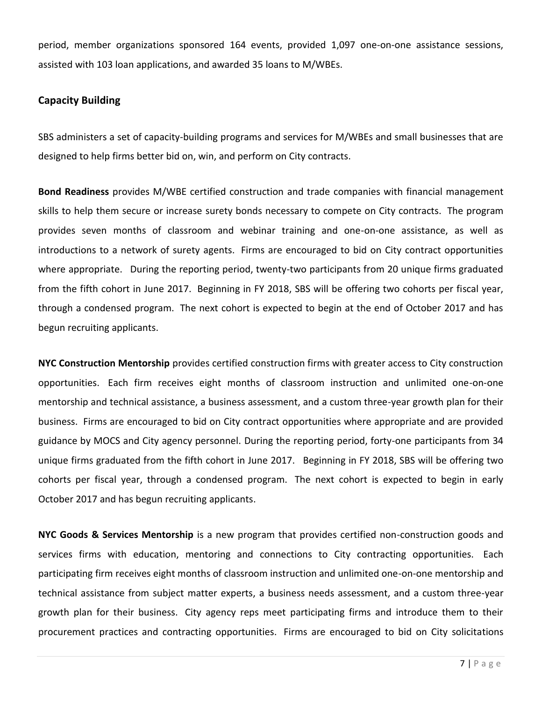period, member organizations sponsored 164 events, provided 1,097 one-on-one assistance sessions, assisted with 103 loan applications, and awarded 35 loans to M/WBEs.

#### **Capacity Building**

SBS administers a set of capacity-building programs and services for M/WBEs and small businesses that are designed to help firms better bid on, win, and perform on City contracts.

**Bond Readiness** provides M/WBE certified construction and trade companies with financial management skills to help them secure or increase surety bonds necessary to compete on City contracts. The program provides seven months of classroom and webinar training and one-on-one assistance, as well as introductions to a network of surety agents. Firms are encouraged to bid on City contract opportunities where appropriate. During the reporting period, twenty-two participants from 20 unique firms graduated from the fifth cohort in June 2017. Beginning in FY 2018, SBS will be offering two cohorts per fiscal year, through a condensed program. The next cohort is expected to begin at the end of October 2017 and has begun recruiting applicants.

**NYC Construction Mentorship** provides certified construction firms with greater access to City construction opportunities. Each firm receives eight months of classroom instruction and unlimited one-on-one mentorship and technical assistance, a business assessment, and a custom three-year growth plan for their business. Firms are encouraged to bid on City contract opportunities where appropriate and are provided guidance by MOCS and City agency personnel. During the reporting period, forty-one participants from 34 unique firms graduated from the fifth cohort in June 2017. Beginning in FY 2018, SBS will be offering two cohorts per fiscal year, through a condensed program. The next cohort is expected to begin in early October 2017 and has begun recruiting applicants.

**NYC Goods & Services Mentorship** is a new program that provides certified non-construction goods and services firms with education, mentoring and connections to City contracting opportunities. Each participating firm receives eight months of classroom instruction and unlimited one-on-one mentorship and technical assistance from subject matter experts, a business needs assessment, and a custom three-year growth plan for their business. City agency reps meet participating firms and introduce them to their procurement practices and contracting opportunities. Firms are encouraged to bid on City solicitations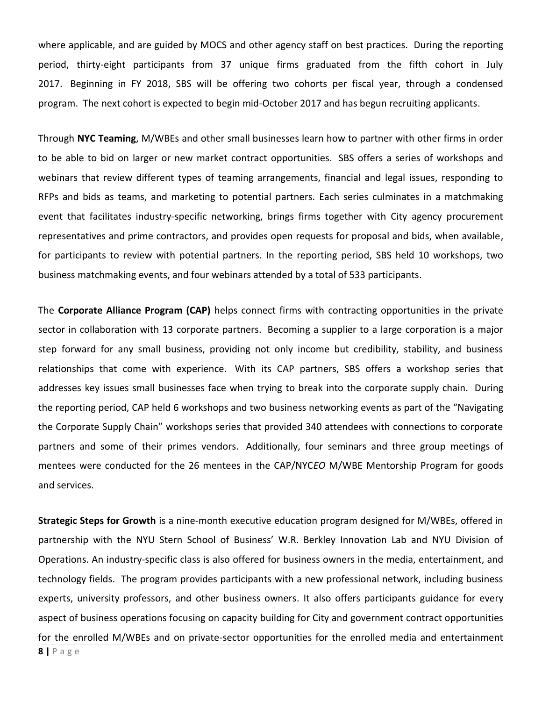where applicable, and are guided by MOCS and other agency staff on best practices. During the reporting period, thirty-eight participants from 37 unique firms graduated from the fifth cohort in July 2017. Beginning in FY 2018, SBS will be offering two cohorts per fiscal year, through a condensed program. The next cohort is expected to begin mid-October 2017 and has begun recruiting applicants.

Through **NYC Teaming**, M/WBEs and other small businesses learn how to partner with other firms in order to be able to bid on larger or new market contract opportunities. SBS offers a series of workshops and webinars that review different types of teaming arrangements, financial and legal issues, responding to RFPs and bids as teams, and marketing to potential partners. Each series culminates in a matchmaking event that facilitates industry-specific networking, brings firms together with City agency procurement representatives and prime contractors, and provides open requests for proposal and bids, when available, for participants to review with potential partners. In the reporting period, SBS held 10 workshops, two business matchmaking events, and four webinars attended by a total of 533 participants.

The **Corporate Alliance Program (CAP)** helps connect firms with contracting opportunities in the private sector in collaboration with 13 corporate partners. Becoming a supplier to a large corporation is a major step forward for any small business, providing not only income but credibility, stability, and business relationships that come with experience. With its CAP partners, SBS offers a workshop series that addresses key issues small businesses face when trying to break into the corporate supply chain. During the reporting period, CAP held 6 workshops and two business networking events as part of the "Navigating the Corporate Supply Chain" workshops series that provided 340 attendees with connections to corporate partners and some of their primes vendors. Additionally, four seminars and three group meetings of mentees were conducted for the 26 mentees in the CAP/NYC*EO* M/WBE Mentorship Program for goods and services.

**Strategic Steps for Growth** is a nine-month executive education program designed for M/WBEs, offered in partnership with the NYU Stern School of Business' W.R. Berkley Innovation Lab and NYU Division of Operations. An industry-specific class is also offered for business owners in the media, entertainment, and technology fields. The program provides participants with a new professional network, including business experts, university professors, and other business owners. It also offers participants guidance for every aspect of business operations focusing on capacity building for City and government contract opportunities for the enrolled M/WBEs and on private-sector opportunities for the enrolled media and entertainment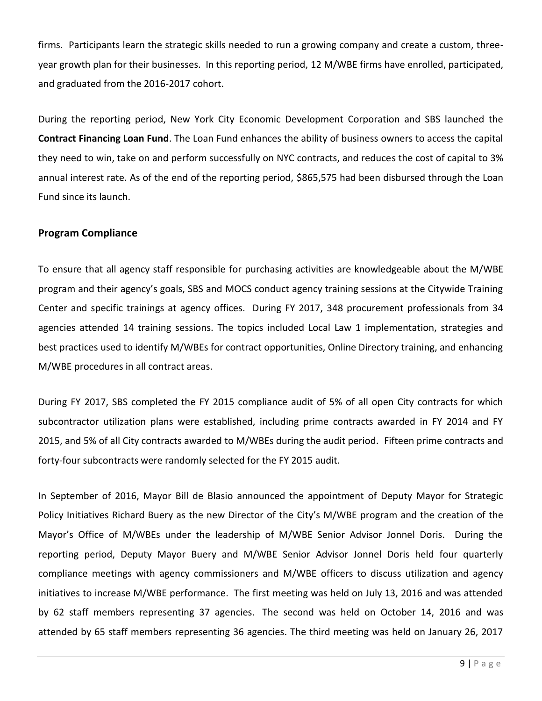firms. Participants learn the strategic skills needed to run a growing company and create a custom, threeyear growth plan for their businesses. In this reporting period, 12 M/WBE firms have enrolled, participated, and graduated from the 2016-2017 cohort.

During the reporting period, New York City Economic Development Corporation and SBS launched the **Contract Financing Loan Fund**. The Loan Fund enhances the ability of business owners to access the capital they need to win, take on and perform successfully on NYC contracts, and reduces the cost of capital to 3% annual interest rate. As of the end of the reporting period, \$865,575 had been disbursed through the Loan Fund since its launch.

#### **Program Compliance**

To ensure that all agency staff responsible for purchasing activities are knowledgeable about the M/WBE program and their agency's goals, SBS and MOCS conduct agency training sessions at the Citywide Training Center and specific trainings at agency offices. During FY 2017, 348 procurement professionals from 34 agencies attended 14 training sessions. The topics included Local Law 1 implementation, strategies and best practices used to identify M/WBEs for contract opportunities, Online Directory training, and enhancing M/WBE procedures in all contract areas.

During FY 2017, SBS completed the FY 2015 compliance audit of 5% of all open City contracts for which subcontractor utilization plans were established, including prime contracts awarded in FY 2014 and FY 2015, and 5% of all City contracts awarded to M/WBEs during the audit period. Fifteen prime contracts and forty-four subcontracts were randomly selected for the FY 2015 audit.

In September of 2016, Mayor Bill de Blasio announced the appointment of Deputy Mayor for Strategic Policy Initiatives Richard Buery as the new Director of the City's M/WBE program and the creation of the Mayor's Office of M/WBEs under the leadership of M/WBE Senior Advisor Jonnel Doris. During the reporting period, Deputy Mayor Buery and M/WBE Senior Advisor Jonnel Doris held four quarterly compliance meetings with agency commissioners and M/WBE officers to discuss utilization and agency initiatives to increase M/WBE performance. The first meeting was held on July 13, 2016 and was attended by 62 staff members representing 37 agencies. The second was held on October 14, 2016 and was attended by 65 staff members representing 36 agencies. The third meeting was held on January 26, 2017